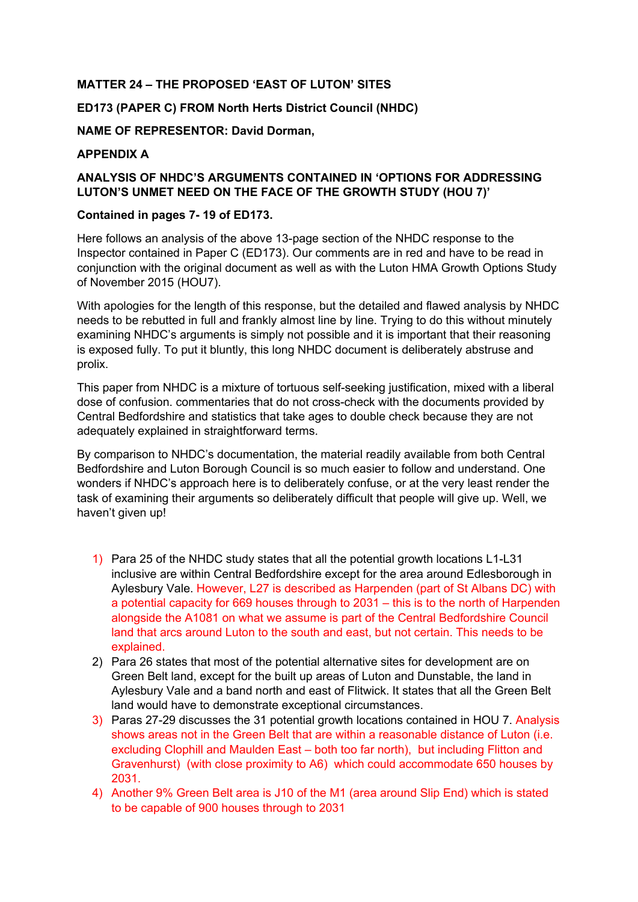# **MATTER 24 – THE PROPOSED 'EAST OF LUTON' SITES**

## **ED173 (PAPER C) FROM North Herts District Council (NHDC)**

**NAME OF REPRESENTOR: David Dorman,** 

## **APPENDIX A**

# **ANALYSIS OF NHDC'S ARGUMENTS CONTAINED IN 'OPTIONS FOR ADDRESSING LUTON'S UNMET NEED ON THE FACE OF THE GROWTH STUDY (HOU 7)'**

### **Contained in pages 7- 19 of ED173.**

Here follows an analysis of the above 13-page section of the NHDC response to the Inspector contained in Paper C (ED173). Our comments are in red and have to be read in conjunction with the original document as well as with the Luton HMA Growth Options Study of November 2015 (HOU7).

With apologies for the length of this response, but the detailed and flawed analysis by NHDC needs to be rebutted in full and frankly almost line by line. Trying to do this without minutely examining NHDC's arguments is simply not possible and it is important that their reasoning is exposed fully. To put it bluntly, this long NHDC document is deliberately abstruse and prolix.

This paper from NHDC is a mixture of tortuous self-seeking justification, mixed with a liberal dose of confusion. commentaries that do not cross-check with the documents provided by Central Bedfordshire and statistics that take ages to double check because they are not adequately explained in straightforward terms.

By comparison to NHDC's documentation, the material readily available from both Central Bedfordshire and Luton Borough Council is so much easier to follow and understand. One wonders if NHDC's approach here is to deliberately confuse, or at the very least render the task of examining their arguments so deliberately difficult that people will give up. Well, we haven't given up!

- 1) Para 25 of the NHDC study states that all the potential growth locations L1-L31 inclusive are within Central Bedfordshire except for the area around Edlesborough in Aylesbury Vale. However, L27 is described as Harpenden (part of St Albans DC) with a potential capacity for 669 houses through to 2031 – this is to the north of Harpenden alongside the A1081 on what we assume is part of the Central Bedfordshire Council land that arcs around Luton to the south and east, but not certain. This needs to be explained.
- 2) Para 26 states that most of the potential alternative sites for development are on Green Belt land, except for the built up areas of Luton and Dunstable, the land in Aylesbury Vale and a band north and east of Flitwick. It states that all the Green Belt land would have to demonstrate exceptional circumstances.
- 3) Paras 27-29 discusses the 31 potential growth locations contained in HOU 7. Analysis shows areas not in the Green Belt that are within a reasonable distance of Luton (i.e. excluding Clophill and Maulden East – both too far north), but including Flitton and Gravenhurst) (with close proximity to A6) which could accommodate 650 houses by 2031.
- 4) Another 9% Green Belt area is J10 of the M1 (area around Slip End) which is stated to be capable of 900 houses through to 2031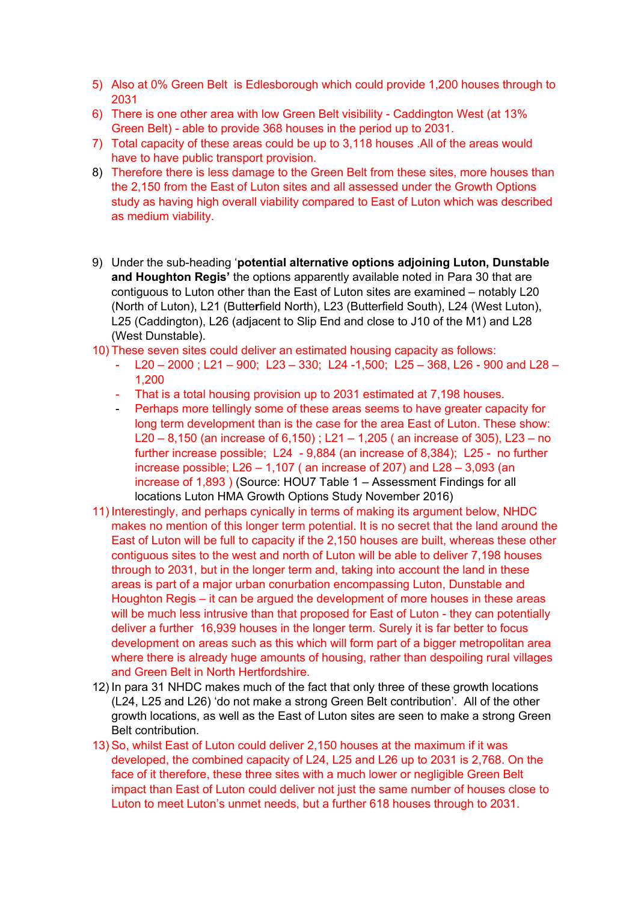- 5) Also at 0% Green Belt is Edlesborough which could provide 1,200 houses through to 2031
- 6) There is one other area with low Green Belt visibility Caddington West (at 13% Green Belt) - able to provide 368 houses in the period up to 2031.
- 7) Total capacity of these areas could be up to 3,118 houses .All of the areas would have to have public transport provision.
- 8) Therefore there is less damage to the Green Belt from these sites, more houses than the 2,150 from the East of Luton sites and all assessed under the Growth Options study as having high overall viability compared to East of Luton which was described as medium viability.
- 9) Under the sub-heading '**potential alternative options adjoining Luton, Dunstable and Houghton Regis'** the options apparently available noted in Para 30 that are contiguous to Luton other than the East of Luton sites are examined – notably L20 (North of Luton), L21 (Butte**r**field North), L23 (Butterfield South), L24 (West Luton), L25 (Caddington), L26 (adjacent to Slip End and close to J10 of the M1) and L28 (West Dunstable).
- 10) These seven sites could deliver an estimated housing capacity as follows:
	- $L20 2000$ ;  $L21 900$ ;  $L23 330$ ;  $L24 1,500$ ;  $L25 368$ ,  $L26 900$  and  $L28 1$ 1,200
	- That is a total housing provision up to 2031 estimated at 7,198 houses.
	- Perhaps more tellingly some of these areas seems to have greater capacity for long term development than is the case for the area East of Luton. These show: L20 – 8,150 (an increase of 6,150) ; L21 – 1,205 ( an increase of 305), L23 – no further increase possible; L24 - 9,884 (an increase of 8,384); L25 - no further increase possible;  $L26 - 1.107$  (an increase of 207) and  $L28 - 3.093$  (an increase of 1,893 ) (Source: HOU7 Table 1 – Assessment Findings for all locations Luton HMA Growth Options Study November 2016)
- 11) Interestingly, and perhaps cynically in terms of making its argument below, NHDC makes no mention of this longer term potential. It is no secret that the land around the East of Luton will be full to capacity if the 2,150 houses are built, whereas these other contiguous sites to the west and north of Luton will be able to deliver 7,198 houses through to 2031, but in the longer term and, taking into account the land in these areas is part of a major urban conurbation encompassing Luton, Dunstable and Houghton Regis – it can be argued the development of more houses in these areas will be much less intrusive than that proposed for East of Luton - they can potentially deliver a further 16,939 houses in the longer term. Surely it is far better to focus development on areas such as this which will form part of a bigger metropolitan area where there is already huge amounts of housing, rather than despoiling rural villages and Green Belt in North Hertfordshire.
- 12) In para 31 NHDC makes much of the fact that only three of these growth locations (L24, L25 and L26) 'do not make a strong Green Belt contribution'. All of the other growth locations, as well as the East of Luton sites are seen to make a strong Green Belt contribution.
- 13) So, whilst East of Luton could deliver 2,150 houses at the maximum if it was developed, the combined capacity of L24, L25 and L26 up to 2031 is 2,768. On the face of it therefore, these three sites with a much lower or negligible Green Belt impact than East of Luton could deliver not just the same number of houses close to Luton to meet Luton's unmet needs, but a further 618 houses through to 2031.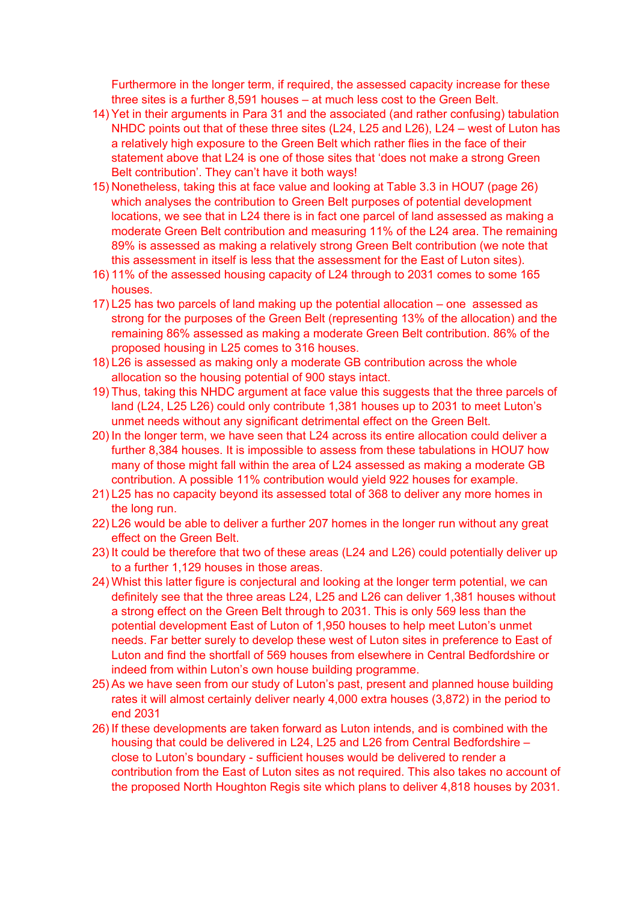Furthermore in the longer term, if required, the assessed capacity increase for these three sites is a further 8,591 houses – at much less cost to the Green Belt.

- 14) Yet in their arguments in Para 31 and the associated (and rather confusing) tabulation NHDC points out that of these three sites (L24, L25 and L26), L24 – west of Luton has a relatively high exposure to the Green Belt which rather flies in the face of their statement above that L24 is one of those sites that 'does not make a strong Green Belt contribution'. They can't have it both ways!
- 15) Nonetheless, taking this at face value and looking at Table 3.3 in HOU7 (page 26) which analyses the contribution to Green Belt purposes of potential development locations, we see that in L24 there is in fact one parcel of land assessed as making a moderate Green Belt contribution and measuring 11% of the L24 area. The remaining 89% is assessed as making a relatively strong Green Belt contribution (we note that this assessment in itself is less that the assessment for the East of Luton sites).
- 16) 11% of the assessed housing capacity of L24 through to 2031 comes to some 165 houses.
- 17) L25 has two parcels of land making up the potential allocation one assessed as strong for the purposes of the Green Belt (representing 13% of the allocation) and the remaining 86% assessed as making a moderate Green Belt contribution. 86% of the proposed housing in L25 comes to 316 houses.
- 18) L26 is assessed as making only a moderate GB contribution across the whole allocation so the housing potential of 900 stays intact.
- 19) Thus, taking this NHDC argument at face value this suggests that the three parcels of land (L24, L25 L26) could only contribute 1,381 houses up to 2031 to meet Luton's unmet needs without any significant detrimental effect on the Green Belt.
- 20) In the longer term, we have seen that L24 across its entire allocation could deliver a further 8,384 houses. It is impossible to assess from these tabulations in HOU7 how many of those might fall within the area of L24 assessed as making a moderate GB contribution. A possible 11% contribution would yield 922 houses for example.
- 21) L25 has no capacity beyond its assessed total of 368 to deliver any more homes in the long run.
- 22) L26 would be able to deliver a further 207 homes in the longer run without any great effect on the Green Belt.
- 23) It could be therefore that two of these areas (L24 and L26) could potentially deliver up to a further 1,129 houses in those areas.
- 24) Whist this latter figure is conjectural and looking at the longer term potential, we can definitely see that the three areas L24, L25 and L26 can deliver 1,381 houses without a strong effect on the Green Belt through to 2031. This is only 569 less than the potential development East of Luton of 1,950 houses to help meet Luton's unmet needs. Far better surely to develop these west of Luton sites in preference to East of Luton and find the shortfall of 569 houses from elsewhere in Central Bedfordshire or indeed from within Luton's own house building programme.
- 25) As we have seen from our study of Luton's past, present and planned house building rates it will almost certainly deliver nearly 4,000 extra houses (3,872) in the period to end 2031
- 26) If these developments are taken forward as Luton intends, and is combined with the housing that could be delivered in L24, L25 and L26 from Central Bedfordshire – close to Luton's boundary - sufficient houses would be delivered to render a contribution from the East of Luton sites as not required. This also takes no account of the proposed North Houghton Regis site which plans to deliver 4,818 houses by 2031.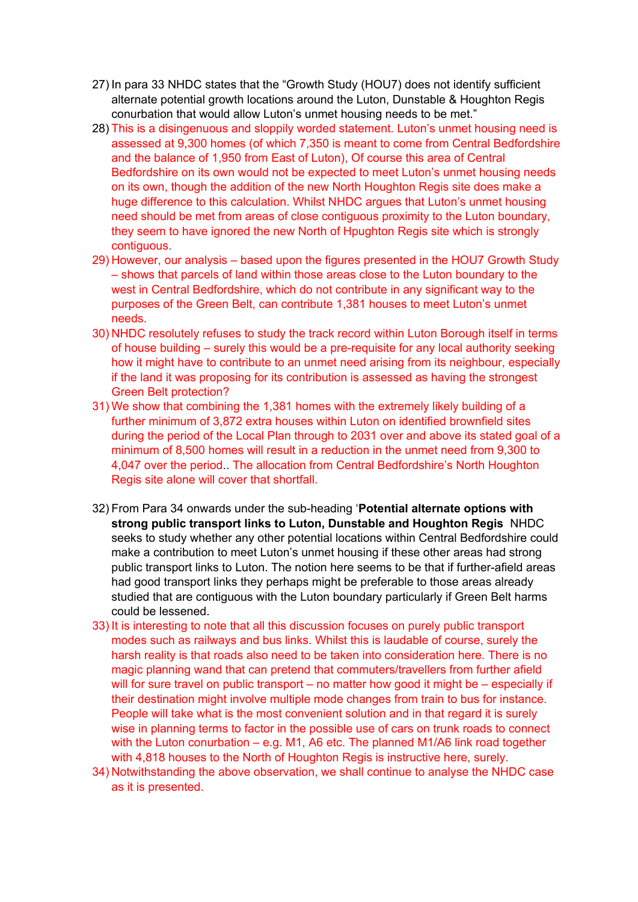- 27) In para 33 NHDC states that the "Growth Study (HOU7) does not identify sufficient alternate potential growth locations around the Luton, Dunstable & Houghton Regis conurbation that would allow Luton's unmet housing needs to be met."
- 28) This is a disingenuous and sloppily worded statement. Luton's unmet housing need is assessed at 9,300 homes (of which 7,350 is meant to come from Central Bedfordshire and the balance of 1,950 from East of Luton), Of course this area of Central Bedfordshire on its own would not be expected to meet Luton's unmet housing needs on its own, though the addition of the new North Houghton Regis site does make a huge difference to this calculation. Whilst NHDC argues that Luton's unmet housing need should be met from areas of close contiguous proximity to the Luton boundary, they seem to have ignored the new North of Hpughton Regis site which is strongly contiguous.
- 29) However, our analysis based upon the figures presented in the HOU7 Growth Study – shows that parcels of land within those areas close to the Luton boundary to the west in Central Bedfordshire, which do not contribute in any significant way to the purposes of the Green Belt, can contribute 1,381 houses to meet Luton's unmet needs.
- 30) NHDC resolutely refuses to study the track record within Luton Borough itself in terms of house building – surely this would be a pre-requisite for any local authority seeking how it might have to contribute to an unmet need arising from its neighbour, especially if the land it was proposing for its contribution is assessed as having the strongest Green Belt protection?
- 31) We show that combining the 1,381 homes with the extremely likely building of a further minimum of 3,872 extra houses within Luton on identified brownfield sites during the period of the Local Plan through to 2031 over and above its stated goal of a minimum of 8,500 homes will result in a reduction in the unmet need from 9,300 to 4,047 over the period.. The allocation from Central Bedfordshire's North Houghton Regis site alone will cover that shortfall.
- 32) From Para 34 onwards under the sub-heading '**Potential alternate options with strong public transport links to Luton, Dunstable and Houghton Regis** NHDC seeks to study whether any other potential locations within Central Bedfordshire could make a contribution to meet Luton's unmet housing if these other areas had strong public transport links to Luton. The notion here seems to be that if further-afield areas had good transport links they perhaps might be preferable to those areas already studied that are contiguous with the Luton boundary particularly if Green Belt harms could be lessened.
- 33) It is interesting to note that all this discussion focuses on purely public transport modes such as railways and bus links. Whilst this is laudable of course, surely the harsh reality is that roads also need to be taken into consideration here. There is no magic planning wand that can pretend that commuters/travellers from further afield will for sure travel on public transport – no matter how good it might be – especially if their destination might involve multiple mode changes from train to bus for instance. People will take what is the most convenient solution and in that regard it is surely wise in planning terms to factor in the possible use of cars on trunk roads to connect with the Luton conurbation – e.g. M1, A6 etc. The planned M1/A6 link road together with 4,818 houses to the North of Houghton Regis is instructive here, surely.
- 34) Notwithstanding the above observation, we shall continue to analyse the NHDC case as it is presented.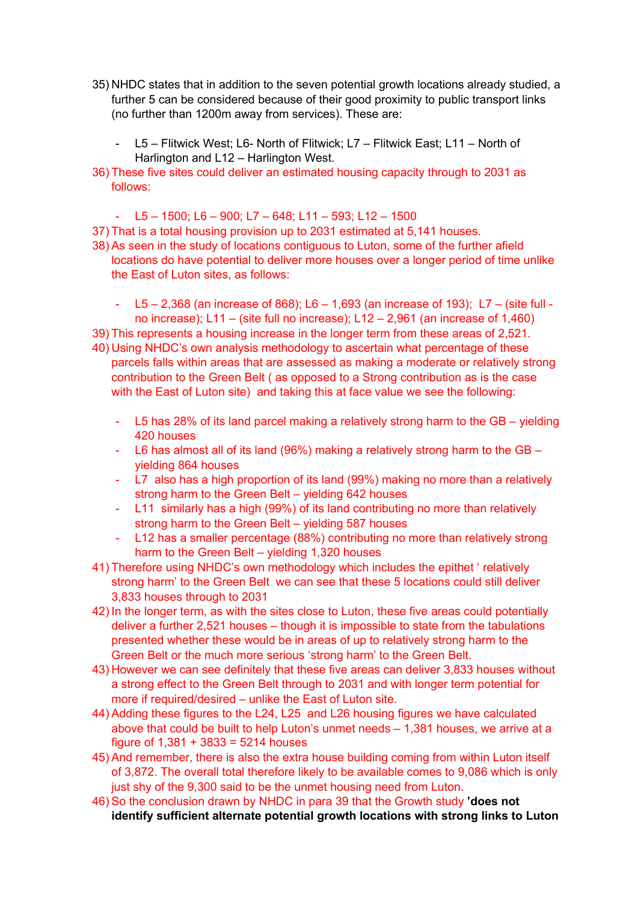- 35) NHDC states that in addition to the seven potential growth locations already studied, a further 5 can be considered because of their good proximity to public transport links (no further than 1200m away from services). These are:
	- L5 Flitwick West; L6- North of Flitwick; L7 Flitwick East; L11 North of Harlington and L12 – Harlington West.
- 36) These five sites could deliver an estimated housing capacity through to 2031 as follows:
	- $-$  L5 1500; L6 900; L7 648; L11 593; L12 1500
- 37) That is a total housing provision up to 2031 estimated at 5,141 houses.
- 38) As seen in the study of locations contiguous to Luton, some of the further afield locations do have potential to deliver more houses over a longer period of time unlike the East of Luton sites, as follows:
	- L5 2,368 (an increase of 868); L6 1,693 (an increase of 193); L7 (site full no increase); L11 – (site full no increase); L12 – 2,961 (an increase of 1,460)
- 39) This represents a housing increase in the longer term from these areas of 2,521.
- 40) Using NHDC's own analysis methodology to ascertain what percentage of these parcels falls within areas that are assessed as making a moderate or relatively strong contribution to the Green Belt ( as opposed to a Strong contribution as is the case with the East of Luton site) and taking this at face value we see the following:
	- L5 has 28% of its land parcel making a relatively strong harm to the GB yielding 420 houses
	- L6 has almost all of its land (96%) making a relatively strong harm to the GB yielding 864 houses
	- L7 also has a high proportion of its land (99%) making no more than a relatively strong harm to the Green Belt – yielding 642 houses
	- L11 similarly has a high (99%) of its land contributing no more than relatively strong harm to the Green Belt – yielding 587 houses
	- L12 has a smaller percentage (88%) contributing no more than relatively strong harm to the Green Belt – yielding 1,320 houses
- 41) Therefore using NHDC's own methodology which includes the epithet ' relatively strong harm' to the Green Belt we can see that these 5 locations could still deliver 3,833 houses through to 2031
- 42) In the longer term, as with the sites close to Luton, these five areas could potentially deliver a further 2,521 houses – though it is impossible to state from the tabulations presented whether these would be in areas of up to relatively strong harm to the Green Belt or the much more serious 'strong harm' to the Green Belt.
- 43) However we can see definitely that these five areas can deliver 3,833 houses without a strong effect to the Green Belt through to 2031 and with longer term potential for more if required/desired – unlike the East of Luton site.
- 44) Adding these figures to the L24, L25 and L26 housing figures we have calculated above that could be built to help Luton's unmet needs – 1,381 houses, we arrive at a figure of 1,381 + 3833 = 5214 houses
- 45) And remember, there is also the extra house building coming from within Luton itself of 3,872. The overall total therefore likely to be available comes to 9,086 which is only just shy of the 9,300 said to be the unmet housing need from Luton.
- 46) So the conclusion drawn by NHDC in para 39 that the Growth study **'does not identify sufficient alternate potential growth locations with strong links to Luton**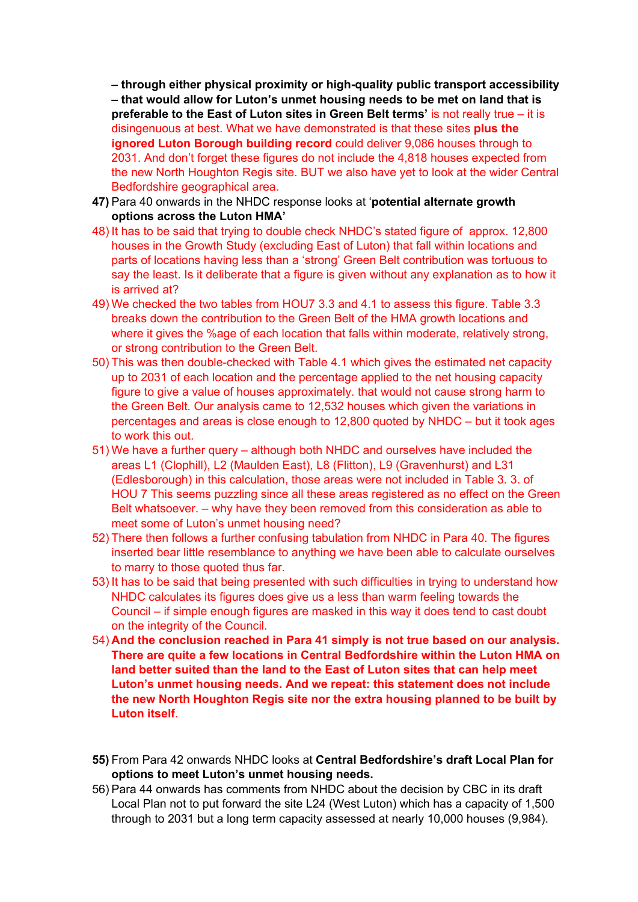**– through either physical proximity or high-quality public transport accessibility – that would allow for Luton's unmet housing needs to be met on land that is preferable to the East of Luton sites in Green Belt terms'** is not really true – it is disingenuous at best. What we have demonstrated is that these sites **plus the ignored Luton Borough building record** could deliver 9,086 houses through to 2031. And don't forget these figures do not include the 4,818 houses expected from the new North Houghton Regis site. BUT we also have yet to look at the wider Central Bedfordshire geographical area.

- **47)** Para 40 onwards in the NHDC response looks at '**potential alternate growth options across the Luton HMA'**
- 48) It has to be said that trying to double check NHDC's stated figure of approx. 12,800 houses in the Growth Study (excluding East of Luton) that fall within locations and parts of locations having less than a 'strong' Green Belt contribution was tortuous to say the least. Is it deliberate that a figure is given without any explanation as to how it is arrived at?
- 49) We checked the two tables from HOU7 3.3 and 4.1 to assess this figure. Table 3.3 breaks down the contribution to the Green Belt of the HMA growth locations and where it gives the %age of each location that falls within moderate, relatively strong, or strong contribution to the Green Belt.
- 50) This was then double-checked with Table 4.1 which gives the estimated net capacity up to 2031 of each location and the percentage applied to the net housing capacity figure to give a value of houses approximately. that would not cause strong harm to the Green Belt. Our analysis came to 12,532 houses which given the variations in percentages and areas is close enough to 12,800 quoted by NHDC – but it took ages to work this out.
- 51) We have a further query although both NHDC and ourselves have included the areas L1 (Clophill), L2 (Maulden East), L8 (Flitton), L9 (Gravenhurst) and L31 (Edlesborough) in this calculation, those areas were not included in Table 3. 3. of HOU 7 This seems puzzling since all these areas registered as no effect on the Green Belt whatsoever. – why have they been removed from this consideration as able to meet some of Luton's unmet housing need?
- 52) There then follows a further confusing tabulation from NHDC in Para 40. The figures inserted bear little resemblance to anything we have been able to calculate ourselves to marry to those quoted thus far.
- 53) It has to be said that being presented with such difficulties in trying to understand how NHDC calculates its figures does give us a less than warm feeling towards the Council – if simple enough figures are masked in this way it does tend to cast doubt on the integrity of the Council.
- 54) **And the conclusion reached in Para 41 simply is not true based on our analysis. There are quite a few locations in Central Bedfordshire within the Luton HMA on land better suited than the land to the East of Luton sites that can help meet Luton's unmet housing needs. And we repeat: this statement does not include the new North Houghton Regis site nor the extra housing planned to be built by Luton itself**.
- **55)** From Para 42 onwards NHDC looks at **Central Bedfordshire's draft Local Plan for options to meet Luton's unmet housing needs.**
- 56) Para 44 onwards has comments from NHDC about the decision by CBC in its draft Local Plan not to put forward the site L24 (West Luton) which has a capacity of 1,500 through to 2031 but a long term capacity assessed at nearly 10,000 houses (9,984).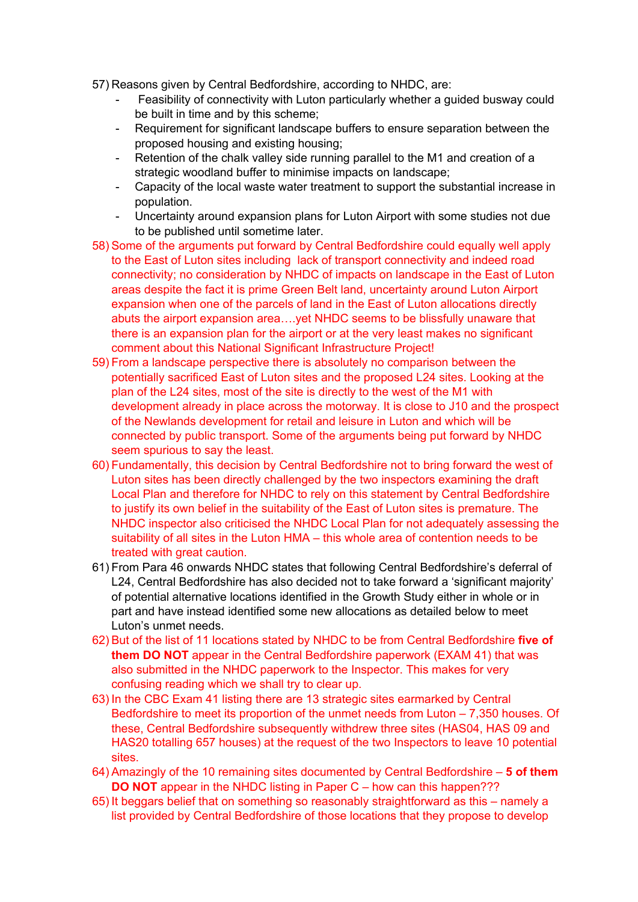- 57) Reasons given by Central Bedfordshire, according to NHDC, are:
	- Feasibility of connectivity with Luton particularly whether a guided busway could be built in time and by this scheme;
	- Requirement for significant landscape buffers to ensure separation between the proposed housing and existing housing;
	- Retention of the chalk valley side running parallel to the M1 and creation of a strategic woodland buffer to minimise impacts on landscape;
	- Capacity of the local waste water treatment to support the substantial increase in population.
	- Uncertainty around expansion plans for Luton Airport with some studies not due to be published until sometime later.
- 58) Some of the arguments put forward by Central Bedfordshire could equally well apply to the East of Luton sites including lack of transport connectivity and indeed road connectivity; no consideration by NHDC of impacts on landscape in the East of Luton areas despite the fact it is prime Green Belt land, uncertainty around Luton Airport expansion when one of the parcels of land in the East of Luton allocations directly abuts the airport expansion area….yet NHDC seems to be blissfully unaware that there is an expansion plan for the airport or at the very least makes no significant comment about this National Significant Infrastructure Project!
- 59) From a landscape perspective there is absolutely no comparison between the potentially sacrificed East of Luton sites and the proposed L24 sites. Looking at the plan of the L24 sites, most of the site is directly to the west of the M1 with development already in place across the motorway. It is close to J10 and the prospect of the Newlands development for retail and leisure in Luton and which will be connected by public transport. Some of the arguments being put forward by NHDC seem spurious to say the least.
- 60) Fundamentally, this decision by Central Bedfordshire not to bring forward the west of Luton sites has been directly challenged by the two inspectors examining the draft Local Plan and therefore for NHDC to rely on this statement by Central Bedfordshire to justify its own belief in the suitability of the East of Luton sites is premature. The NHDC inspector also criticised the NHDC Local Plan for not adequately assessing the suitability of all sites in the Luton HMA – this whole area of contention needs to be treated with great caution.
- 61) From Para 46 onwards NHDC states that following Central Bedfordshire's deferral of L24, Central Bedfordshire has also decided not to take forward a 'significant majority' of potential alternative locations identified in the Growth Study either in whole or in part and have instead identified some new allocations as detailed below to meet Luton's unmet needs.
- 62) But of the list of 11 locations stated by NHDC to be from Central Bedfordshire **five of them DO NOT** appear in the Central Bedfordshire paperwork (EXAM 41) that was also submitted in the NHDC paperwork to the Inspector. This makes for very confusing reading which we shall try to clear up.
- 63) In the CBC Exam 41 listing there are 13 strategic sites earmarked by Central Bedfordshire to meet its proportion of the unmet needs from Luton – 7,350 houses. Of these, Central Bedfordshire subsequently withdrew three sites (HAS04, HAS 09 and HAS20 totalling 657 houses) at the request of the two Inspectors to leave 10 potential sites.
- 64) Amazingly of the 10 remaining sites documented by Central Bedfordshire **5 of them DO NOT** appear in the NHDC listing in Paper C – how can this happen???
- 65) It beggars belief that on something so reasonably straightforward as this namely a list provided by Central Bedfordshire of those locations that they propose to develop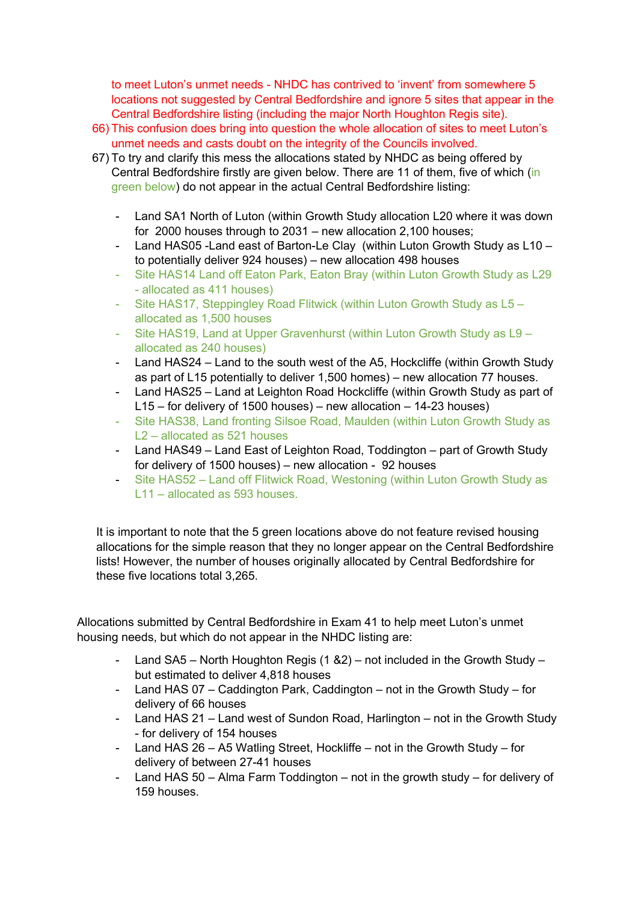to meet Luton's unmet needs - NHDC has contrived to 'invent' from somewhere 5 locations not suggested by Central Bedfordshire and ignore 5 sites that appear in the Central Bedfordshire listing (including the major North Houghton Regis site).

- 66) This confusion does bring into question the whole allocation of sites to meet Luton's unmet needs and casts doubt on the integrity of the Councils involved.
- 67) To try and clarify this mess the allocations stated by NHDC as being offered by Central Bedfordshire firstly are given below. There are 11 of them, five of which (in green below) do not appear in the actual Central Bedfordshire listing:
	- Land SA1 North of Luton (within Growth Study allocation L20 where it was down for 2000 houses through to 2031 – new allocation 2,100 houses;
	- Land HAS05 -Land east of Barton-Le Clay (within Luton Growth Study as L10 to potentially deliver 924 houses) – new allocation 498 houses
	- Site HAS14 Land off Eaton Park, Eaton Bray (within Luton Growth Study as L29 - allocated as 411 houses)
	- Site HAS17, Steppingley Road Flitwick (within Luton Growth Study as L5 allocated as 1,500 houses
	- Site HAS19, Land at Upper Gravenhurst (within Luton Growth Study as L9 allocated as 240 houses)
	- Land HAS24 Land to the south west of the A5, Hockcliffe (within Growth Study as part of L15 potentially to deliver 1,500 homes) – new allocation 77 houses.
	- Land HAS25 Land at Leighton Road Hockcliffe (within Growth Study as part of L15 – for delivery of 1500 houses) – new allocation – 14-23 houses)
	- Site HAS38, Land fronting Silsoe Road, Maulden (within Luton Growth Study as L2 – allocated as 521 houses
	- Land HAS49 Land East of Leighton Road, Toddington part of Growth Study for delivery of 1500 houses) – new allocation - 92 houses
	- Site HAS52 Land off Flitwick Road, Westoning (within Luton Growth Study as L11 – allocated as 593 houses.

It is important to note that the 5 green locations above do not feature revised housing allocations for the simple reason that they no longer appear on the Central Bedfordshire lists! However, the number of houses originally allocated by Central Bedfordshire for these five locations total 3,265.

Allocations submitted by Central Bedfordshire in Exam 41 to help meet Luton's unmet housing needs, but which do not appear in the NHDC listing are:

- Land SA5 North Houghton Regis (1 & 2) not included in the Growth Study but estimated to deliver 4,818 houses
- Land HAS 07 Caddington Park, Caddington not in the Growth Study for delivery of 66 houses
- Land HAS 21 Land west of Sundon Road, Harlington not in the Growth Study - for delivery of 154 houses
- Land HAS 26 A5 Watling Street, Hockliffe not in the Growth Study for delivery of between 27-41 houses
- Land HAS 50 Alma Farm Toddington not in the growth study for delivery of 159 houses.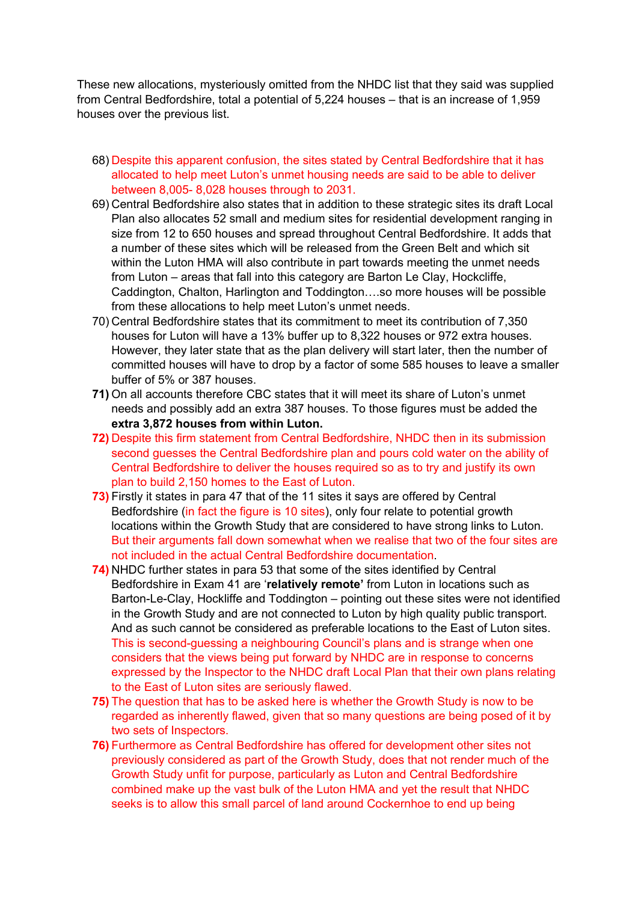These new allocations, mysteriously omitted from the NHDC list that they said was supplied from Central Bedfordshire, total a potential of 5,224 houses – that is an increase of 1,959 houses over the previous list.

- 68) Despite this apparent confusion, the sites stated by Central Bedfordshire that it has allocated to help meet Luton's unmet housing needs are said to be able to deliver between 8,005- 8,028 houses through to 2031.
- 69) Central Bedfordshire also states that in addition to these strategic sites its draft Local Plan also allocates 52 small and medium sites for residential development ranging in size from 12 to 650 houses and spread throughout Central Bedfordshire. It adds that a number of these sites which will be released from the Green Belt and which sit within the Luton HMA will also contribute in part towards meeting the unmet needs from Luton – areas that fall into this category are Barton Le Clay, Hockcliffe, Caddington, Chalton, Harlington and Toddington….so more houses will be possible from these allocations to help meet Luton's unmet needs.
- 70) Central Bedfordshire states that its commitment to meet its contribution of 7,350 houses for Luton will have a 13% buffer up to 8,322 houses or 972 extra houses. However, they later state that as the plan delivery will start later, then the number of committed houses will have to drop by a factor of some 585 houses to leave a smaller buffer of 5% or 387 houses.
- **71)** On all accounts therefore CBC states that it will meet its share of Luton's unmet needs and possibly add an extra 387 houses. To those figures must be added the **extra 3,872 houses from within Luton.**
- **72)** Despite this firm statement from Central Bedfordshire, NHDC then in its submission second guesses the Central Bedfordshire plan and pours cold water on the ability of Central Bedfordshire to deliver the houses required so as to try and justify its own plan to build 2,150 homes to the East of Luton.
- **73)** Firstly it states in para 47 that of the 11 sites it says are offered by Central Bedfordshire (in fact the figure is 10 sites), only four relate to potential growth locations within the Growth Study that are considered to have strong links to Luton. But their arguments fall down somewhat when we realise that two of the four sites are not included in the actual Central Bedfordshire documentation.
- **74)** NHDC further states in para 53 that some of the sites identified by Central Bedfordshire in Exam 41 are '**relatively remote'** from Luton in locations such as Barton-Le-Clay, Hockliffe and Toddington – pointing out these sites were not identified in the Growth Study and are not connected to Luton by high quality public transport. And as such cannot be considered as preferable locations to the East of Luton sites. This is second-guessing a neighbouring Council's plans and is strange when one considers that the views being put forward by NHDC are in response to concerns expressed by the Inspector to the NHDC draft Local Plan that their own plans relating to the East of Luton sites are seriously flawed.
- **75)** The question that has to be asked here is whether the Growth Study is now to be regarded as inherently flawed, given that so many questions are being posed of it by two sets of Inspectors.
- **76)** Furthermore as Central Bedfordshire has offered for development other sites not previously considered as part of the Growth Study, does that not render much of the Growth Study unfit for purpose, particularly as Luton and Central Bedfordshire combined make up the vast bulk of the Luton HMA and yet the result that NHDC seeks is to allow this small parcel of land around Cockernhoe to end up being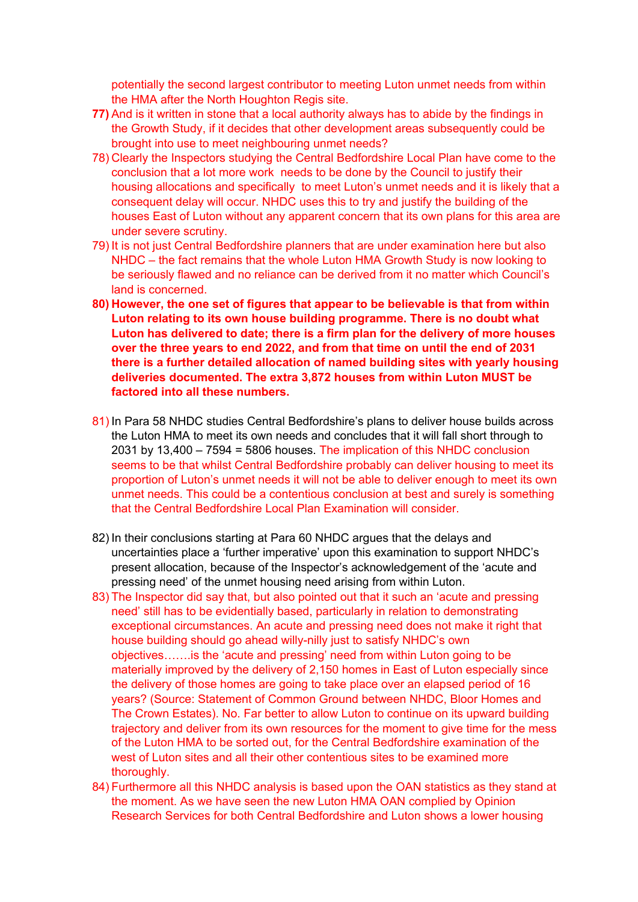potentially the second largest contributor to meeting Luton unmet needs from within the HMA after the North Houghton Regis site.

- **77)** And is it written in stone that a local authority always has to abide by the findings in the Growth Study, if it decides that other development areas subsequently could be brought into use to meet neighbouring unmet needs?
- 78) Clearly the Inspectors studying the Central Bedfordshire Local Plan have come to the conclusion that a lot more work needs to be done by the Council to justify their housing allocations and specifically to meet Luton's unmet needs and it is likely that a consequent delay will occur. NHDC uses this to try and justify the building of the houses East of Luton without any apparent concern that its own plans for this area are under severe scrutiny.
- 79) It is not just Central Bedfordshire planners that are under examination here but also NHDC – the fact remains that the whole Luton HMA Growth Study is now looking to be seriously flawed and no reliance can be derived from it no matter which Council's land is concerned.
- **80) However, the one set of figures that appear to be believable is that from within Luton relating to its own house building programme. There is no doubt what Luton has delivered to date; there is a firm plan for the delivery of more houses over the three years to end 2022, and from that time on until the end of 2031 there is a further detailed allocation of named building sites with yearly housing deliveries documented. The extra 3,872 houses from within Luton MUST be factored into all these numbers.**
- 81) In Para 58 NHDC studies Central Bedfordshire's plans to deliver house builds across the Luton HMA to meet its own needs and concludes that it will fall short through to 2031 by 13,400 – 7594 = 5806 houses. The implication of this NHDC conclusion seems to be that whilst Central Bedfordshire probably can deliver housing to meet its proportion of Luton's unmet needs it will not be able to deliver enough to meet its own unmet needs. This could be a contentious conclusion at best and surely is something that the Central Bedfordshire Local Plan Examination will consider.
- 82) In their conclusions starting at Para 60 NHDC argues that the delays and uncertainties place a 'further imperative' upon this examination to support NHDC's present allocation, because of the Inspector's acknowledgement of the 'acute and pressing need' of the unmet housing need arising from within Luton.
- 83) The Inspector did say that, but also pointed out that it such an 'acute and pressing need' still has to be evidentially based, particularly in relation to demonstrating exceptional circumstances. An acute and pressing need does not make it right that house building should go ahead willy-nilly just to satisfy NHDC's own objectives…….is the 'acute and pressing' need from within Luton going to be materially improved by the delivery of 2,150 homes in East of Luton especially since the delivery of those homes are going to take place over an elapsed period of 16 years? (Source: Statement of Common Ground between NHDC, Bloor Homes and The Crown Estates). No. Far better to allow Luton to continue on its upward building trajectory and deliver from its own resources for the moment to give time for the mess of the Luton HMA to be sorted out, for the Central Bedfordshire examination of the west of Luton sites and all their other contentious sites to be examined more thoroughly.
- 84) Furthermore all this NHDC analysis is based upon the OAN statistics as they stand at the moment. As we have seen the new Luton HMA OAN complied by Opinion Research Services for both Central Bedfordshire and Luton shows a lower housing